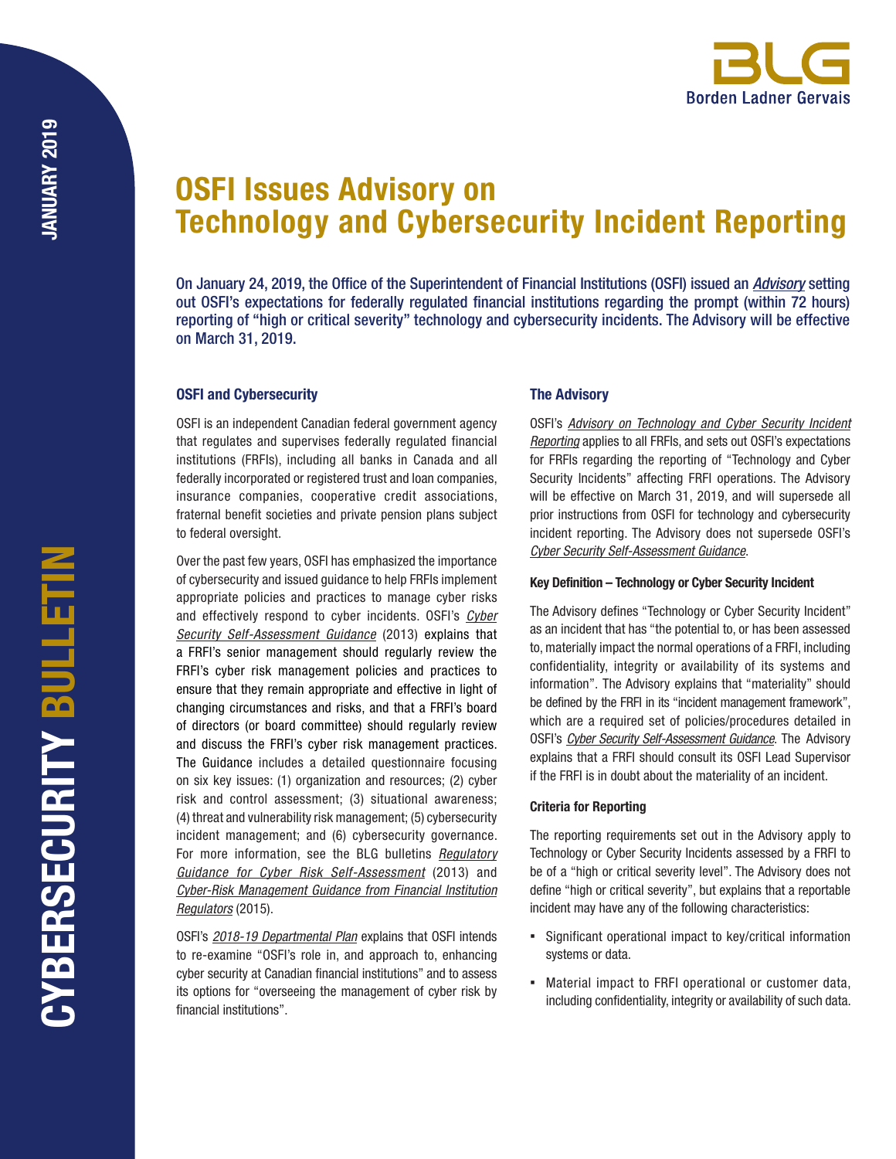# OSFI Issues Advisory on Technology and Cybersecurity Incident Reporting

On January 24, 2019, the Office of the Superintendent of Financial Institutions (OSFI) issued an *[Advisory](http://www.osfi-bsif.gc.ca/Eng/fi-if/rg-ro/gdn-ort/adv-prv/Pages/TCSIR.aspx)* setting out OSFI's expectations for federally regulated financial institutions regarding the prompt (within 72 hours) reporting of "high or critical severity" technology and cybersecurity incidents. The Advisory will be effective on March 31, 2019.

# OSFI and Cybersecurity

OSFI is an independent Canadian federal government agency that regulates and supervises federally regulated financial institutions (FRFIs), including all banks in Canada and all federally incorporated or registered trust and loan companies, insurance companies, cooperative credit associations, fraternal benefit societies and private pension plans subject to federal oversight.

Over the past few years, OSFI has emphasized the importance of cybersecurity and issued guidance to help FRFIs implement appropriate policies and practices to manage cyber risks and effectively respond to cyber incidents. OSFI's *[Cyber](http://www.osfi-bsif.gc.ca/eng/fi-if/in-ai/pages/cbrsk.aspx)  [Security Self-Assessment Guidance](http://www.osfi-bsif.gc.ca/eng/fi-if/in-ai/pages/cbrsk.aspx)* (2013) explains that a FRFI's senior management should regularly review the FRFI's cyber risk management policies and practices to ensure that they remain appropriate and effective in light of changing circumstances and risks, and that a FRFI's board of directors (or board committee) should regularly review and discuss the FRFI's cyber risk management practices. The Guidance includes a detailed questionnaire focusing on six key issues: (1) organization and resources; (2) cyber risk and control assessment; (3) situational awareness; (4) threat and vulnerability risk management; (5) cybersecurity incident management; and (6) cybersecurity governance. For more information, see the BLG bulletins *[Regulatory](https://blg.com/en/News-And-Publications/Documents/Publication_3557_1033.pdf)  [Guidance for Cyber Risk Self-Assessment](https://blg.com/en/News-And-Publications/Documents/Publication_3557_1033.pdf)* (2013) and *[Cyber-Risk Management Guidance from Financial Institution](https://blg.com/en/News-And-Publications/Documents/Publication_4041_1033.pdf)  [Regulators](https://blg.com/en/News-And-Publications/Documents/Publication_4041_1033.pdf)* (2015).

OSFI's *[2018-19 Departmental Plan](http://www.osfi-bsif.gc.ca/Eng/osfi-bsif/rep-rap/rpp/dp1819/Pages/default.aspx)* explains that OSFI intends to re-examine "OSFI's role in, and approach to, enhancing cyber security at Canadian financial institutions" and to assess its options for "overseeing the management of cyber risk by financial institutions".

# The Advisory

OSFI's *[Advisory on Technology and Cyber Security Incident](http://www.osfi-bsif.gc.ca/Eng/fi-if/rg-ro/gdn-ort/adv-prv/Pages/TCSIR.aspx) [Reporting](http://www.osfi-bsif.gc.ca/Eng/fi-if/rg-ro/gdn-ort/adv-prv/Pages/TCSIR.aspx)* applies to all FRFIs, and sets out OSFI's expectations for FRFIs regarding the reporting of "Technology and Cyber Security Incidents" affecting FRFI operations. The Advisory will be effective on March 31, 2019, and will supersede all prior instructions from OSFI for technology and cybersecurity incident reporting. The Advisory does not supersede OSFI's *[Cyber Security Self-Assessment Guidance](http://www.osfi-bsif.gc.ca/eng/fi-if/in-ai/pages/cbrsk.aspx)*.

#### Key Definition – Technology or Cyber Security Incident

The Advisory defines "Technology or Cyber Security Incident" as an incident that has "the potential to, or has been assessed to, materially impact the normal operations of a FRFI, including confidentiality, integrity or availability of its systems and information". The Advisory explains that "materiality" should be defined by the FRFI in its "incident management framework", which are a required set of policies/procedures detailed in OSFI's *[Cyber Security Self-Assessment Guidance](http://www.osfi-bsif.gc.ca/eng/fi-if/in-ai/pages/cbrsk.aspx)*. The Advisory explains that a FRFI should consult its OSFI Lead Supervisor if the FRFI is in doubt about the materiality of an incident.

### Criteria for Reporting

The reporting requirements set out in the Advisory apply to Technology or Cyber Security Incidents assessed by a FRFI to be of a "high or critical severity level". The Advisory does not define "high or critical severity", but explains that a reportable incident may have any of the following characteristics:

- Significant operational impact to key/critical information systems or data.
- Material impact to FRFI operational or customer data, including confidentiality, integrity or availability of such data.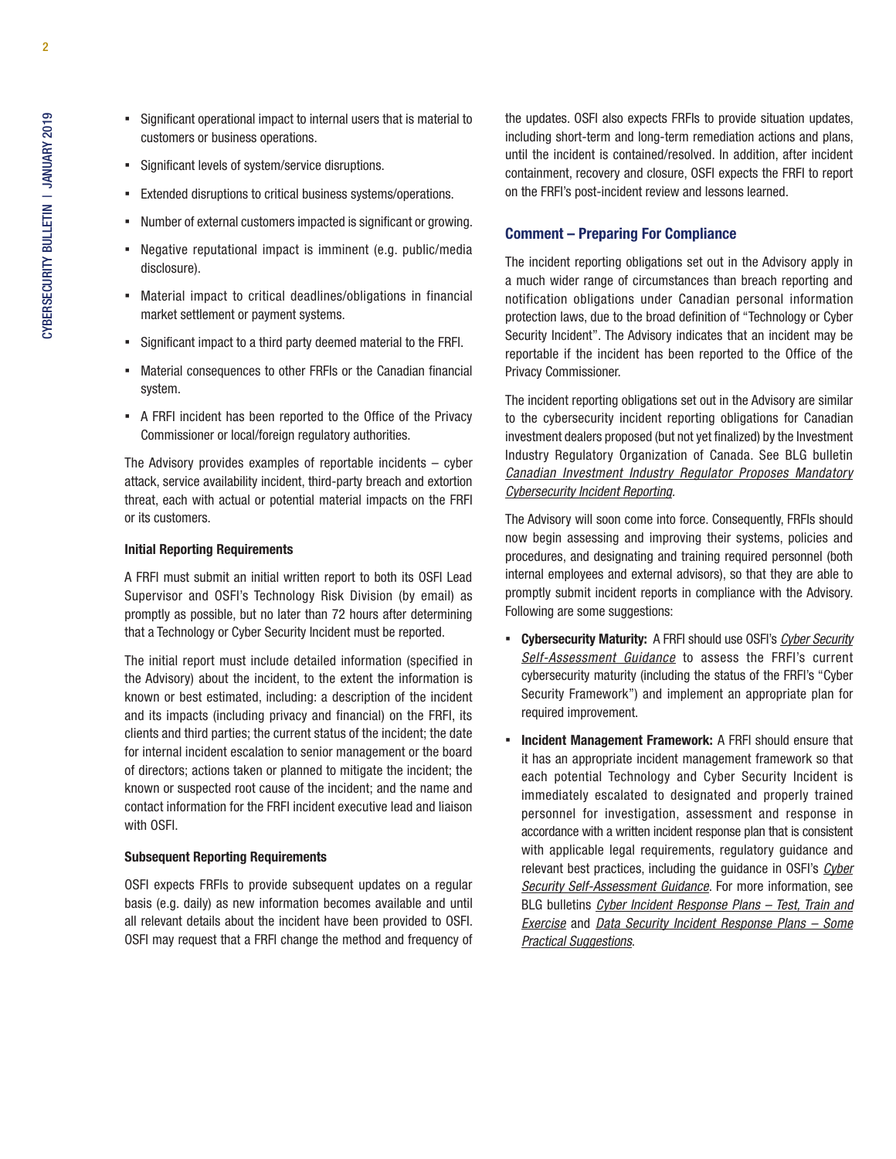- Significant operational impact to internal users that is material to customers or business operations.
- Significant levels of system/service disruptions.
- Extended disruptions to critical business systems/operations.
- Number of external customers impacted is significant or growing.
- Negative reputational impact is imminent (e.g. public/media disclosure).
- Material impact to critical deadlines/obligations in financial market settlement or payment systems.
- Significant impact to a third party deemed material to the FRFI.
- Material consequences to other FRFIs or the Canadian financial system.
- A FRFI incident has been reported to the Office of the Privacy Commissioner or local/foreign regulatory authorities.

The Advisory provides examples of reportable incidents – cyber attack, service availability incident, third-party breach and extortion threat, each with actual or potential material impacts on the FRFI or its customers.

### Initial Reporting Requirements

A FRFI must submit an initial written report to both its OSFI Lead Supervisor and OSFI's Technology Risk Division (by email) as promptly as possible, but no later than 72 hours after determining that a Technology or Cyber Security Incident must be reported.

The initial report must include detailed information (specified in the Advisory) about the incident, to the extent the information is known or best estimated, including: a description of the incident and its impacts (including privacy and financial) on the FRFI, its clients and third parties; the current status of the incident; the date for internal incident escalation to senior management or the board of directors; actions taken or planned to mitigate the incident; the known or suspected root cause of the incident; and the name and contact information for the FRFI incident executive lead and liaison with OSFI.

#### Subsequent Reporting Requirements

OSFI expects FRFIs to provide subsequent updates on a regular basis (e.g. daily) as new information becomes available and until all relevant details about the incident have been provided to OSFI. OSFI may request that a FRFI change the method and frequency of

the updates. OSFI also expects FRFIs to provide situation updates, including short-term and long-term remediation actions and plans, until the incident is contained/resolved. In addition, after incident containment, recovery and closure, OSFI expects the FRFI to report on the FRFI's post-incident review and lessons learned.

# Comment – Preparing For Compliance

The incident reporting obligations set out in the Advisory apply in a much wider range of circumstances than breach reporting and notification obligations under Canadian personal information protection laws, due to the broad definition of "Technology or Cyber Security Incident". The Advisory indicates that an incident may be reportable if the incident has been reported to the Office of the Privacy Commissioner.

The incident reporting obligations set out in the Advisory are similar to the cybersecurity incident reporting obligations for Canadian investment dealers proposed (but not yet finalized) by the Investment Industry Regulatory Organization of Canada. See BLG bulletin *[Canadian Investment Industry Regulator Proposes Mandatory](https://blg.com/en/News-And-Publications/Documents/Publication_5266_1033.pdf)  [Cybersecurity Incident Reporting](https://blg.com/en/News-And-Publications/Documents/Publication_5266_1033.pdf).*

The Advisory will soon come into force. Consequently, FRFIs should now begin assessing and improving their systems, policies and procedures, and designating and training required personnel (both internal employees and external advisors), so that they are able to promptly submit incident reports in compliance with the Advisory. Following are some suggestions:

- Cybersecurity Maturity: A FRFI should use OSFI's *[Cyber Security](http://www.osfi-bsif.gc.ca/eng/fi-if/in-ai/pages/cbrsk.aspx) [Self-Assessment Guidance](http://www.osfi-bsif.gc.ca/eng/fi-if/in-ai/pages/cbrsk.aspx)* to assess the FRFI's current cybersecurity maturity (including the status of the FRFI's "Cyber Security Framework") and implement an appropriate plan for required improvement.
- Incident Management Framework: A FRFI should ensure that it has an appropriate incident management framework so that each potential Technology and Cyber Security Incident is immediately escalated to designated and properly trained personnel for investigation, assessment and response in accordance with a written incident response plan that is consistent with applicable legal requirements, regulatory guidance and relevant best practices, including the guidance in OSFI's *[Cyber](http://www.osfi-bsif.gc.ca/eng/fi-if/in-ai/pages/cbrsk.aspx) [Security Self-Assessment Guidance](http://www.osfi-bsif.gc.ca/eng/fi-if/in-ai/pages/cbrsk.aspx)*. For more information, see BLG bulletins *[Cyber Incident Response Plans – Test, Train and](https://blg.com/en/News-And-Publications/Documents/Publication_4516_1033.pdf) [Exercise](https://blg.com/en/News-And-Publications/Documents/Publication_4516_1033.pdf)* and *[Data Security Incident Response Plans – Some](https://blg.com/en/News-And-Publications/Documents/Publication_4757_1033.pdf)  [Practical Suggestions](https://blg.com/en/News-And-Publications/Documents/Publication_4757_1033.pdf)*.